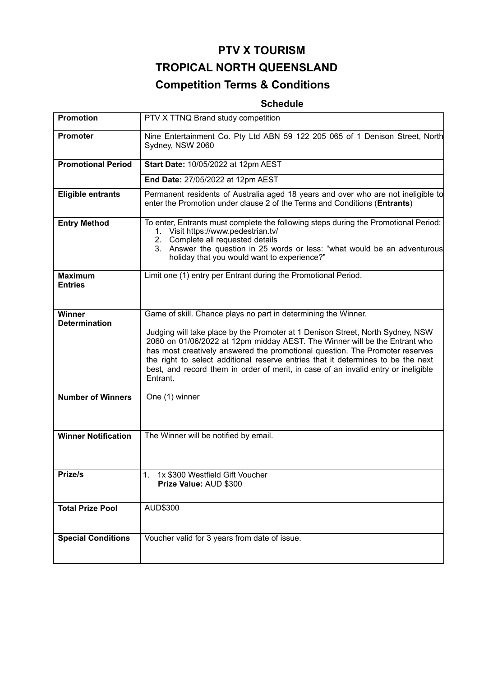# **PTV X TOURISM TROPICAL NORTH QUEENSLAND Competition Terms & Conditions**

# **Schedule**

| <b>Promotion</b>                      | PTV X TTNQ Brand study competition                                                                                                                                                                                                                                                                                                                                                                                                                                                                   |
|---------------------------------------|------------------------------------------------------------------------------------------------------------------------------------------------------------------------------------------------------------------------------------------------------------------------------------------------------------------------------------------------------------------------------------------------------------------------------------------------------------------------------------------------------|
| Promoter                              | Nine Entertainment Co. Pty Ltd ABN 59 122 205 065 of 1 Denison Street, North<br>Sydney, NSW 2060                                                                                                                                                                                                                                                                                                                                                                                                     |
| <b>Promotional Period</b>             | Start Date: 10/05/2022 at 12pm AEST                                                                                                                                                                                                                                                                                                                                                                                                                                                                  |
|                                       | End Date: 27/05/2022 at 12pm AEST                                                                                                                                                                                                                                                                                                                                                                                                                                                                    |
| <b>Eligible entrants</b>              | Permanent residents of Australia aged 18 years and over who are not ineligible to<br>enter the Promotion under clause 2 of the Terms and Conditions (Entrants)                                                                                                                                                                                                                                                                                                                                       |
| <b>Entry Method</b>                   | To enter, Entrants must complete the following steps during the Promotional Period:<br>1. Visit https://www.pedestrian.tv/<br>2. Complete all requested details<br>3. Answer the question in 25 words or less: "what would be an adventurous<br>holiday that you would want to experience?"                                                                                                                                                                                                          |
| <b>Maximum</b><br><b>Entries</b>      | Limit one (1) entry per Entrant during the Promotional Period.                                                                                                                                                                                                                                                                                                                                                                                                                                       |
| <b>Winner</b><br><b>Determination</b> | Game of skill. Chance plays no part in determining the Winner.<br>Judging will take place by the Promoter at 1 Denison Street, North Sydney, NSW<br>2060 on 01/06/2022 at 12pm midday AEST. The Winner will be the Entrant who<br>has most creatively answered the promotional question. The Promoter reserves<br>the right to select additional reserve entries that it determines to be the next<br>best, and record them in order of merit, in case of an invalid entry or ineligible<br>Entrant. |
| <b>Number of Winners</b>              | One (1) winner                                                                                                                                                                                                                                                                                                                                                                                                                                                                                       |
| <b>Winner Notification</b>            | The Winner will be notified by email.                                                                                                                                                                                                                                                                                                                                                                                                                                                                |
| Prize/s                               | 1. 1x \$300 Westfield Gift Voucher<br>Prize Value: AUD \$300                                                                                                                                                                                                                                                                                                                                                                                                                                         |
| <b>Total Prize Pool</b>               | AUD\$300                                                                                                                                                                                                                                                                                                                                                                                                                                                                                             |
| <b>Special Conditions</b>             | Voucher valid for 3 years from date of issue.                                                                                                                                                                                                                                                                                                                                                                                                                                                        |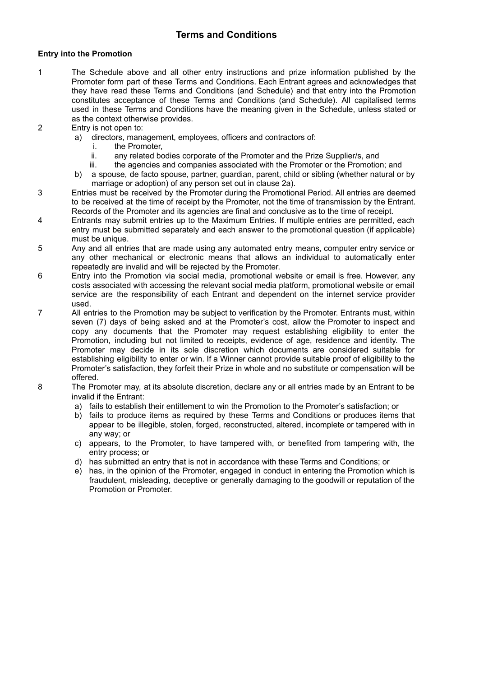# **Terms and Conditions**

# **Entry into the Promotion**

- 1 The Schedule above and all other entry instructions and prize information published by the Promoter form part of these Terms and Conditions. Each Entrant agrees and acknowledges that they have read these Terms and Conditions (and Schedule) and that entry into the Promotion constitutes acceptance of these Terms and Conditions (and Schedule). All capitalised terms used in these Terms and Conditions have the meaning given in the Schedule, unless stated or as the context otherwise provides.
- 2 Entry is not open to:
	- a) directors, management, employees, officers and contractors of:
		- i. the Promoter,
		- ii. any related bodies corporate of the Promoter and the Prize Supplier/s, and
		- iii. the agencies and companies associated with the Promoter or the Promotion; and
	- b) a spouse, de facto spouse, partner, guardian, parent, child or sibling (whether natural or by marriage or adoption) of any person set out in clause 2a).
- 3 Entries must be received by the Promoter during the Promotional Period. All entries are deemed to be received at the time of receipt by the Promoter, not the time of transmission by the Entrant. Records of the Promoter and its agencies are final and conclusive as to the time of receipt.
- 4 Entrants may submit entries up to the Maximum Entries. If multiple entries are permitted, each entry must be submitted separately and each answer to the promotional question (if applicable) must be unique.
- 5 Any and all entries that are made using any automated entry means, computer entry service or any other mechanical or electronic means that allows an individual to automatically enter repeatedly are invalid and will be rejected by the Promoter.
- 6 Entry into the Promotion via social media, promotional website or email is free. However, any costs associated with accessing the relevant social media platform, promotional website or email service are the responsibility of each Entrant and dependent on the internet service provider used.
- 7 All entries to the Promotion may be subject to verification by the Promoter. Entrants must, within seven (7) days of being asked and at the Promoter's cost, allow the Promoter to inspect and copy any documents that the Promoter may request establishing eligibility to enter the Promotion, including but not limited to receipts, evidence of age, residence and identity. The Promoter may decide in its sole discretion which documents are considered suitable for establishing eligibility to enter or win. If a Winner cannot provide suitable proof of eligibility to the Promoter's satisfaction, they forfeit their Prize in whole and no substitute or compensation will be offered.
- 8 The Promoter may, at its absolute discretion, declare any or all entries made by an Entrant to be invalid if the Entrant:
	- a) fails to establish their entitlement to win the Promotion to the Promoter's satisfaction; or
	- b) fails to produce items as required by these Terms and Conditions or produces items that appear to be illegible, stolen, forged, reconstructed, altered, incomplete or tampered with in any way; or
	- c) appears, to the Promoter, to have tampered with, or benefited from tampering with, the entry process; or
	- d) has submitted an entry that is not in accordance with these Terms and Conditions; or
	- e) has, in the opinion of the Promoter, engaged in conduct in entering the Promotion which is fraudulent, misleading, deceptive or generally damaging to the goodwill or reputation of the Promotion or Promoter.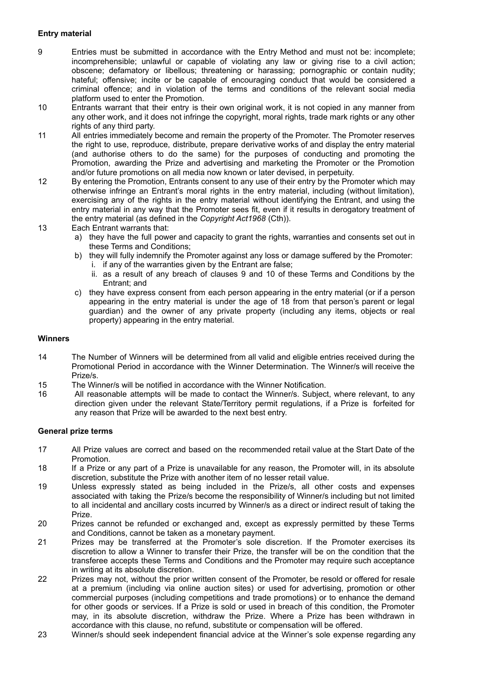# **Entry material**

- 9 Entries must be submitted in accordance with the Entry Method and must not be: incomplete; incomprehensible; unlawful or capable of violating any law or giving rise to a civil action; obscene; defamatory or libellous; threatening or harassing; pornographic or contain nudity; hateful; offensive; incite or be capable of encouraging conduct that would be considered a criminal offence; and in violation of the terms and conditions of the relevant social media platform used to enter the Promotion.
- 10 Entrants warrant that their entry is their own original work, it is not copied in any manner from any other work, and it does not infringe the copyright, moral rights, trade mark rights or any other rights of any third party.
- 11 All entries immediately become and remain the property of the Promoter. The Promoter reserves the right to use, reproduce, distribute, prepare derivative works of and display the entry material (and authorise others to do the same) for the purposes of conducting and promoting the Promotion, awarding the Prize and advertising and marketing the Promoter or the Promotion and/or future promotions on all media now known or later devised, in perpetuity.
- 12 By entering the Promotion, Entrants consent to any use of their entry by the Promoter which may otherwise infringe an Entrant's moral rights in the entry material, including (without limitation), exercising any of the rights in the entry material without identifying the Entrant, and using the entry material in any way that the Promoter sees fit, even if it results in derogatory treatment of the entry material (as defined in the *Copyright Act1968* (Cth)).
- 13 Each Entrant warrants that:
	- a) they have the full power and capacity to grant the rights, warranties and consents set out in these Terms and Conditions;
	- b) they will fully indemnify the Promoter against any loss or damage suffered by the Promoter: i. if any of the warranties given by the Entrant are false;
		- ii. as a result of any breach of clauses 9 and 10 of these Terms and Conditions by the Entrant; and
	- c) they have express consent from each person appearing in the entry material (or if a person appearing in the entry material is under the age of 18 from that person's parent or legal guardian) and the owner of any private property (including any items, objects or real property) appearing in the entry material.

#### **Winners**

- 14 The Number of Winners will be determined from all valid and eligible entries received during the Promotional Period in accordance with the Winner Determination. The Winner/s will receive the Prize/s.
- 15 The Winner/s will be notified in accordance with the Winner Notification.
- 16 All reasonable attempts will be made to contact the Winner/s. Subject, where relevant, to any direction given under the relevant State/Territory permit regulations, if a Prize is forfeited for any reason that Prize will be awarded to the next best entry.

#### **General prize terms**

- 17 All Prize values are correct and based on the recommended retail value at the Start Date of the Promotion.
- 18 If a Prize or any part of a Prize is unavailable for any reason, the Promoter will, in its absolute discretion, substitute the Prize with another item of no lesser retail value.
- 19 Unless expressly stated as being included in the Prize/s, all other costs and expenses associated with taking the Prize/s become the responsibility of Winner/s including but not limited to all incidental and ancillary costs incurred by Winner/s as a direct or indirect result of taking the Prize.
- 20 Prizes cannot be refunded or exchanged and, except as expressly permitted by these Terms and Conditions, cannot be taken as a monetary payment.
- 21 Prizes may be transferred at the Promoter's sole discretion. If the Promoter exercises its discretion to allow a Winner to transfer their Prize, the transfer will be on the condition that the transferee accepts these Terms and Conditions and the Promoter may require such acceptance in writing at its absolute discretion.
- 22 Prizes may not, without the prior written consent of the Promoter, be resold or offered for resale at a premium (including via online auction sites) or used for advertising, promotion or other commercial purposes (including competitions and trade promotions) or to enhance the demand for other goods or services. If a Prize is sold or used in breach of this condition, the Promoter may, in its absolute discretion, withdraw the Prize. Where a Prize has been withdrawn in accordance with this clause, no refund, substitute or compensation will be offered.
- 23 Winner/s should seek independent financial advice at the Winner's sole expense regarding any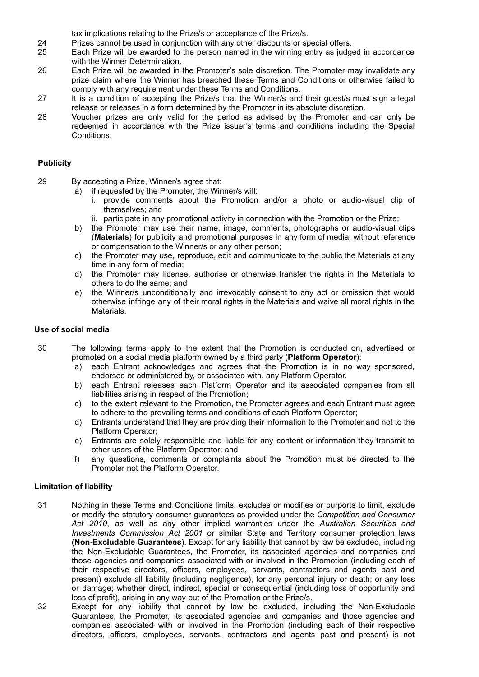tax implications relating to the Prize/s or acceptance of the Prize/s.

- 24 Prizes cannot be used in conjunction with any other discounts or special offers.
- 25 Each Prize will be awarded to the person named in the winning entry as judged in accordance with the Winner Determination.
- 26 Each Prize will be awarded in the Promoter's sole discretion. The Promoter may invalidate any prize claim where the Winner has breached these Terms and Conditions or otherwise failed to comply with any requirement under these Terms and Conditions.
- 27 It is a condition of accepting the Prize/s that the Winner/s and their guest/s must sign a legal release or releases in a form determined by the Promoter in its absolute discretion.
- 28 Voucher prizes are only valid for the period as advised by the Promoter and can only be redeemed in accordance with the Prize issuer's terms and conditions including the Special Conditions.

### **Publicity**

- 29 By accepting a Prize, Winner/s agree that:
	- a) if requested by the Promoter, the Winner/s will:
		- i. provide comments about the Promotion and/or a photo or audio-visual clip of themselves; and
		- ii. participate in any promotional activity in connection with the Promotion or the Prize;
	- b) the Promoter may use their name, image, comments, photographs or audio-visual clips (**Materials**) for publicity and promotional purposes in any form of media, without reference or compensation to the Winner/s or any other person;
	- c) the Promoter may use, reproduce, edit and communicate to the public the Materials at any time in any form of media;
	- d) the Promoter may license, authorise or otherwise transfer the rights in the Materials to others to do the same; and
	- e) the Winner/s unconditionally and irrevocably consent to any act or omission that would otherwise infringe any of their moral rights in the Materials and waive all moral rights in the Materials.

# **Use of social media**

- 30 The following terms apply to the extent that the Promotion is conducted on, advertised or promoted on a social media platform owned by a third party (**Platform Operator**):
	- a) each Entrant acknowledges and agrees that the Promotion is in no way sponsored, endorsed or administered by, or associated with, any Platform Operator.
	- b) each Entrant releases each Platform Operator and its associated companies from all liabilities arising in respect of the Promotion;
	- c) to the extent relevant to the Promotion, the Promoter agrees and each Entrant must agree to adhere to the prevailing terms and conditions of each Platform Operator;
	- d) Entrants understand that they are providing their information to the Promoter and not to the Platform Operator;
	- e) Entrants are solely responsible and liable for any content or information they transmit to other users of the Platform Operator; and
	- f) any questions, comments or complaints about the Promotion must be directed to the Promoter not the Platform Operator.

## **Limitation of liability**

- 31 Nothing in these Terms and Conditions limits, excludes or modifies or purports to limit, exclude or modify the statutory consumer guarantees as provided under the *Competition and Consumer Act 2010*, as well as any other implied warranties under the *Australian Securities and Investments Commission Act 2001* or similar State and Territory consumer protection laws (**Non-Excludable Guarantees**). Except for any liability that cannot by law be excluded, including the Non-Excludable Guarantees, the Promoter, its associated agencies and companies and those agencies and companies associated with or involved in the Promotion (including each of their respective directors, officers, employees, servants, contractors and agents past and present) exclude all liability (including negligence), for any personal injury or death; or any loss or damage; whether direct, indirect, special or consequential (including loss of opportunity and loss of profit), arising in any way out of the Promotion or the Prize/s.
- 32 Except for any liability that cannot by law be excluded, including the Non-Excludable Guarantees, the Promoter, its associated agencies and companies and those agencies and companies associated with or involved in the Promotion (including each of their respective directors, officers, employees, servants, contractors and agents past and present) is not